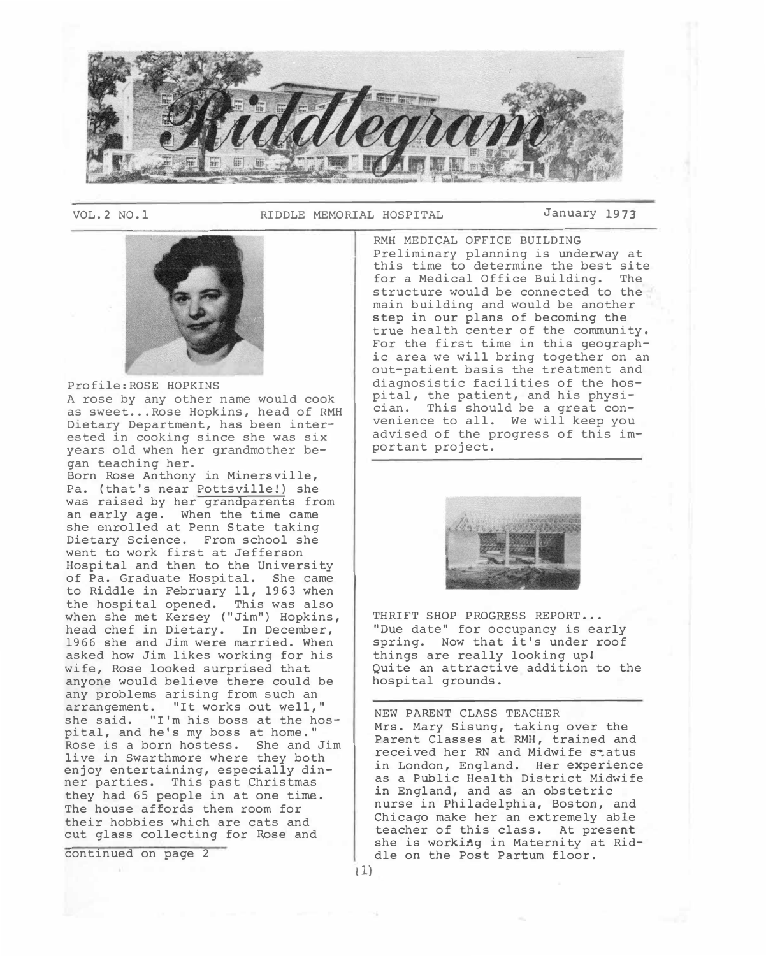

VOL. 2 NO. l RIDDLE MEMORIAL HOSPITAL January 1973

 $(1)$ 



# Profile:ROSE HOPKINS

A rose by any other name would cook as sweet... Rose Hopkins, head of RMH Dietary Department, has been interested in cooking since she was six years old when her grandmother began teaching her.

Born Rose Anthony in Minersville, Pa. (that's near Pottsville!) she was raised by her grandparents from an early age. When the time came she enrolled at Penn State taking Dietary Science. From school she went to work first at Jefferson Hospital and then to the University of Pa. Graduate Hospital. She came to Riddle in February 11, 1963 when the hospital opened. This was also when she met Kersey ("Jim") Hopkins, head chef in Dietary. In December, 1966 she and Jim were married. When asked how Jim likes working for his wife, Rose looked surprised that anyone would believe there could be any problems arising from such an arrangement. "It works out well," she said. "I'm his boss at the hospital, and he's my boss at home." Rose is a born hostess. She and Jim live in Swarthmore where they both enjoy entertaining, especially dinner parties. This past Christmas they had 65 people in at one time. The house affords them room for their hobbies which are cats and cut glass collecting for Rose and

continued on page 2

RMH MEDICAL OFFICE BUILDING Preliminary planning is underway at this time to determine the best site for a Medical Office Building. The structure would be connected to the main building and would be another step in our plans of becoming the true health center of the community. For the first time in this geographic area we will bring together on an out-patient basis the treatment and diagnosistic facilities of the hospital, the patient, and his physician. This should be a great convenience to all. We will keep you advised of the progress of this important project.



THRIFT SHOP PROGRESS REPORT... "Due date" for occupancy is early spring. Now that it's under roof things are really looking up! Quite an attractive addition to the hospital grounds.

NEW PARENT CLASS TEACHER Mrs. Mary Sisung, taking over the Parent Classes at RMH, trained and received her RN and Midwife status in London, England. Her experience as a Public Health District Midwife *in* England, and as an obstetric nurse in Philadelphia, Boston, and Chicago make her an extremely able teacher of this class. At present she is working in Maternity at Riddle on the Post Partum floor.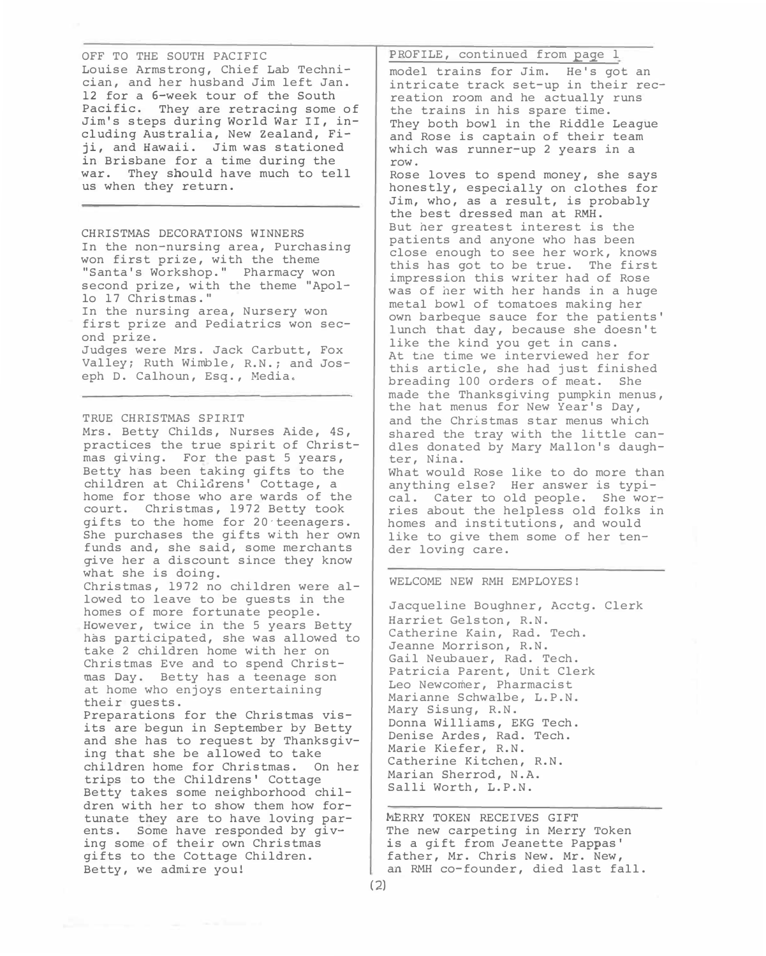OFF TO THE SOUTH PACIFIC Louise Armstrong, Chief Lab Technician, and her husband Jim left Jan. 12 for a 6-week tour of the South Pacific. They are retracing some of Jim's steps during World War II, including Australia, New Zealand, Fiji, and Hawaii. Jim was stationed in Brisbane for a time during the war. They should have much to tell us when they return.

CHRISTMAS DECORATIONS WINNERS In the non-nursing area, Purchasing won first prize, with the theme "Santa's Workshop." Pharmacy won second prize, with the theme "Apollo 17 Christmas." In the nursing area, Nursery won first prize and Pediatrics won second prize. Judges were Mrs. Jack Carbutt, Fox Valley; Ruth Wimble, R.N.; and Joseph D. Calhoun, Esq., Media.

## TRUE CHRISTMAS SPIRIT

Mrs. Betty Childs, Nurses Aide, 4S, practices the true spirit of Christmas giving. For the past 5 years, Betty has been taking gifts to the children at Childrens' Cottage, a home for those who are wards of the court. Christmas, 1*9*72 Betty took gifts to the home for 20-teenagers. She purchases the gifts with her own funds and, she said, some merchants give her a discount since they know what she is doing. Christmas, 1972 no children were allowed to leave to be guests in the homes of more fortunate people. However, twice in the 5 years Betty has participated, she was allowed to take 2 children home with her on Christmas Eve and to spend Christmas Day. Betty has a teenage son at home who enjoys entertaining

their guests. Preparations for the Christmas visits are begun in September by Betty and she has to request by Thanksgiving that she be allowed to take children home for Christmas. On her trips to the Childrens' Cottage Betty takes some neighborhood children with her to show them how fortunate they are to have loving parents. Some have responded by giving some of their own Christmas gifts to the Cottage Children. Betty, we admire you!

PROFILE, continued from page 1

model trains for Jim. He's got an intricate track set-up in their recreation room and he actually runs the trains in his spare time. They both bowl in the Riddle League and Rose is captain of their team which was runner-up 2 years in a row.

Rose loves to spend money, she says honestly, especially on clothes for Jim, who, as a result, is probably the best dressed man at RMH. But her greatest interest is the patients and anyone who has been close enough to see her work, knows this has got to be true. The first impression this writer had of Rose was of her with her hands in a huge metal bowl of tomatoes making her own barbeque sauce for the patients' lunch that day, because she doesn't like the kind you get in cans. At the time we interviewed her for this article, she had just finished breading 100 orders of meat. She made the Thanksgiving pumpkin menus, the hat menus for New Year's Day, and the Christmas star menus which shared the tray with the little candles donated by Mary Mallon's daughter, Nina. What would Rose like to do more than

anything else? Her answer is typical. Cater to old people. She worries about the helpless old folks in homes and institutions, and would like to give them some of her tender loving care.

## WELCOME NEW RMH EMPLOYES!

Jacqueline Boughner, Acctg. Clerk Harriet Gelston, R.N. Catherine Kain, Rad. Tech. Jeanne Morrison, R.N. Gail Neubauer, Rad. Tech. Patricia Parent, Unit Clerk Leo Newcomer, Pharmacist Marianne Schwalbe, L.P.N. Mary Sisung, R.N. Donna Williams, EKG Tech. Denise Ardes, Rad. Tech. Marie Kiefer, R.N. Catherine Kitchen, R.N. Marian Sherrod, N.A. Salli Worth, L.P.N.

MERRY TOKEN RECEIVES GIFT The new carpeting in Merry Token is a gift from Jeanette Pappas' father, Mr. Chris New. Mr. New, an RMH co-founder, died last fall.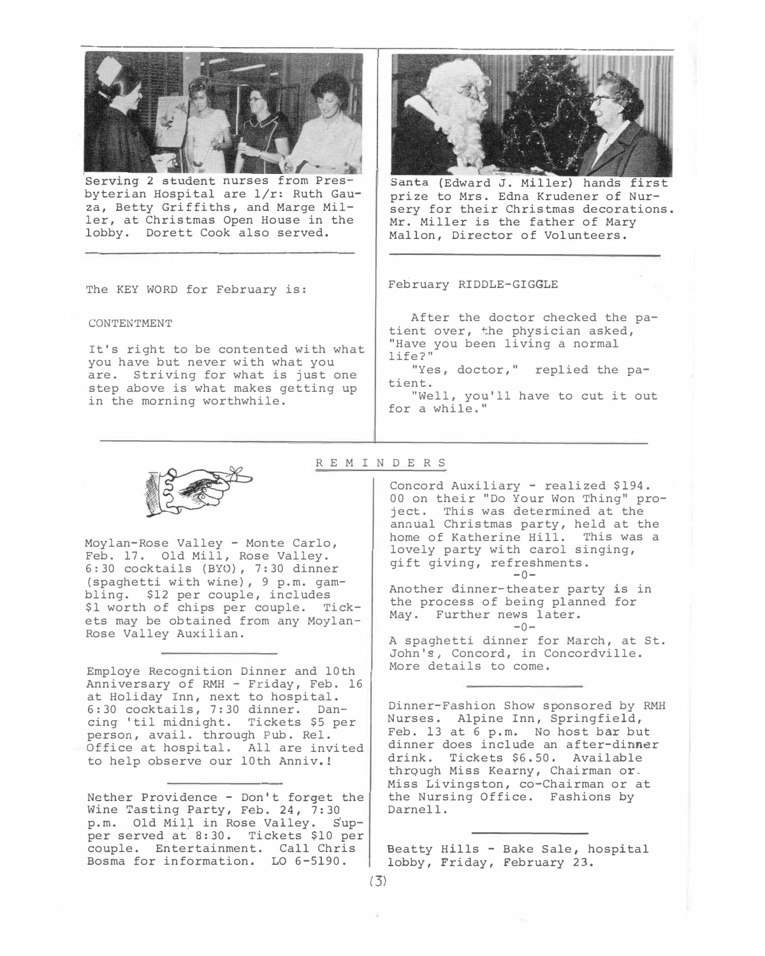

Serving 2 student nurses from Presbyterian Hos*p*ita*l* are 1/r: Ruth *G*auza, *B*etty *G*riffiths, and Marge Miller, at Christmas O*p*en House in the *l*obby. Dorett Cook also served.



(Edward J. Mi*ll*er) hands first *p*rize to Mrs. Edna Krudener of Nursery for their Christmas decorations. Mr. Mil*l*er is the father of Mary Ma*ll*on, Director of Vo*l*unteers.

The KEY WORD for February is:

CONTENTMENT

It's right to be contented with what you have but never with what you are. Striving for what is just one ste*p* above is what makes getting u*p*  in the morning worthwhile.

February RIDDLE-*<sup>G</sup>*I*G*GLE

After the doctor checked the *p*atient over, �he *p*hysician asked, "Have you been living a norma*l*  life?"

"Yes, doctor," re*pl*ied the *p*atient.

"Well, you'll have to cut it out for a whi*l*e."



Moylan-Rose Valley - Monte Carlo, Feb. 17. Old Mill, Rose Valley. 6:30 cocktails (*B*YO) , 7:30 dinner (s*p*aghetti with wine) , 9 *p*.m. gambling. \$12 *p*er cou*p*le, includes \$1 worth of chi*p*s *p*er cou*p*le. Tickets may be obtained from any Moylan-Rose Valley Auxilian.

Em*p*loye Recognition Dinner and 10th Anniversary of RMH - Friday, Feb. 16 at Holiday Inn, next to hos*p*ital. 6:30 cocktails, 7:30 dinner. Dancing 'til midnight. Tickets \$5 *p*er *p*erson, avail. through Pub. Rel. Office at hos*p*ital. All are invited to hel*p* observe our 10th Anniv. !

Nether Providence - Don't forget the Wine Tasting Party, Feb. 24, 7:30 *<sup>p</sup>*. m. Old Mil.).. in Rose Valley. s'u*<sup>p</sup>p*er served at 8:30. Tickets \$10 *p*er cou*p*le. Entertainment. Ca*ll* Chris *B*osma for information. LO 6-5190.

### REM INDERS

Concord Auxi*l*iary - rea*l*ized \$194. 00 on their "Do Your Won Thing" *p*roject. This was determined at the annua*l* Christmas *p*arty, held at the home of Katherine Hi*l*l. This was a lovely *p*arty with carol singing, gift giving, refreshments.  $-0-$ 

Another dinner-theater *p*arty is in the *p*rocess of being *pl*anned for May. Further news *l*ater.  $-0-$ 

A s*p*aghetti dinner for March, at St. John's, Concord, in Concordvi*l*le. More details to come.

Dinner-Fashion Show s*p*onsored by RMH Nurses. A*lp*ine Inn, S*p*ringfield, Feb. 13 at 6 *p*.m. No host bar but dinner does inc*l*ude an after-dinner drink. Tickets \$6.50. Avai*l*ab*l*<sup>e</sup> thrqugh Miss Kearny, Chairman or. Miss Livingston, co-Chairman or at the Nursing Office. Fashions by Darne*ll*.

Beatty Hi*ll*s - *<sup>B</sup>*ake Sa*l*e, hos*p*ita*l*  iobby, Friday, February 23.